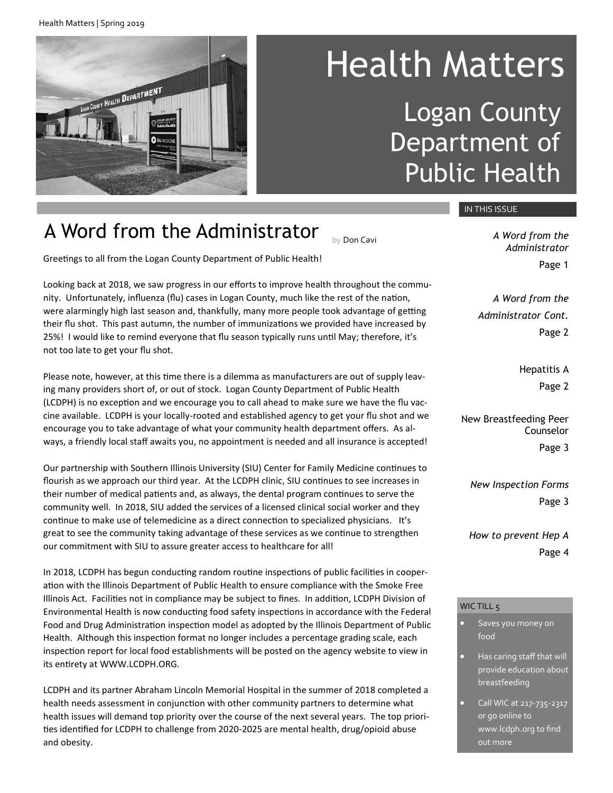Health Matters | Spring 2019



# Health Matters Logan County Department of Public Health

### A Word from the Administrator

Greetings to all from the Logan County Department of Public Health!

Looking back at 2018, we saw progress in our efforts to improve health throughout the community. Unfortunately, influenza (flu) cases in Logan County, much like the rest of the nation, were alarmingly high last season and, thankfully, many more people took advantage of getting their flu shot. This past autumn, the number of immunizations we provided have increased by 25%! I would like to remind everyone that flu season typically runs until May; therefore, it's not too late to get your flu shot.

Please note, however, at this time there is a dilemma as manufacturers are out of supply leaving many providers short of, or out of stock. Logan County Department of Public Health (LCDPH) is no exception and we encourage you to call ahead to make sure we have the flu vaccine available. LCDPH is your locally-rooted and established agency to get your flu shot and we encourage you to take advantage of what your community health department offers. As always, a friendly local staff awaits you, no appointment is needed and all insurance is accepted!

Our partnership with Southern Illinois University (SIU) Center for Family Medicine continues to flourish as we approach our third year. At the LCDPH clinic, SIU continues to see increases in their number of medical patients and, as always, the dental program continues to serve the community well. In 2018, SIU added the services of a licensed clinical social worker and they continue to make use of telemedicine as a direct connection to specialized physicians. It's great to see the community taking advantage of these services as we continue to strengthen our commitment with SIU to assure greater access to healthcare for all!

In 2018, LCDPH has begun conducting random routine inspections of public facilities in cooperation with the Illinois Department of Public Health to ensure compliance with the Smoke Free Illinois Act. Facilities not in compliance may be subject to fines. In addition, LCDPH Division of Environmental Health is now conducting food safety inspections in accordance with the Federal Food and Drug Administration inspection model as adopted by the Illinois Department of Public Health. Although this inspection format no longer includes a percentage grading scale, each inspection report for local food establishments will be posted on the agency website to view in its entirety at WWW.LCDPH.ORG.

LCDPH and its partner Abraham Lincoln Memorial Hospital in the summer of 2018 completed a health needs assessment in conjunction with other community partners to determine what health issues will demand top priority over the course of the next several years. The top priorities identified for LCDPH to challenge from 2020-2025 are mental health, drug/opioid abuse and obesity.

IN THIS ISSUE

by Don Cavi *A Word from the Administrator* Page 1

> *A Word from the Administrator Cont.* Page 2

> > Hepatitis A Page 2

New Breastfeeding Peer Counselor Page 3

*New Inspection Forms* Page 3

*How to prevent Hep A* Page 4

#### WIC TILL 5

- Saves you money on food
- Has caring staff that will provide education about breastfeeding
- Call WIC at 217-735-2317 or go online to www.lcdph.org to find out more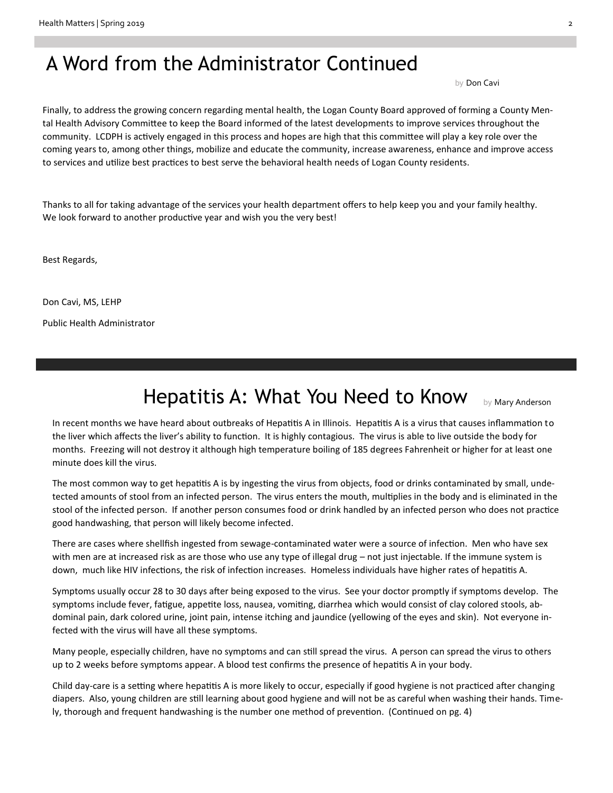### A Word from the Administrator Continued

by Don Cavi

Finally, to address the growing concern regarding mental health, the Logan County Board approved of forming a County Mental Health Advisory Committee to keep the Board informed of the latest developments to improve services throughout the community. LCDPH is actively engaged in this process and hopes are high that this committee will play a key role over the coming years to, among other things, mobilize and educate the community, increase awareness, enhance and improve access to services and utilize best practices to best serve the behavioral health needs of Logan County residents.

Thanks to all for taking advantage of the services your health department offers to help keep you and your family healthy. We look forward to another productive year and wish you the very best!

Best Regards,

Don Cavi, MS, LEHP Public Health Administrator

### Hepatitis A: What You Need to Know by Mary Anderson

In recent months we have heard about outbreaks of Hepatitis A in Illinois. Hepatitis A is a virus that causes inflammation to the liver which affects the liver's ability to function. It is highly contagious. The virus is able to live outside the body for months. Freezing will not destroy it although high temperature boiling of 185 degrees Fahrenheit or higher for at least one minute does kill the virus.

The most common way to get hepatitis A is by ingesting the virus from objects, food or drinks contaminated by small, undetected amounts of stool from an infected person. The virus enters the mouth, multiplies in the body and is eliminated in the stool of the infected person. If another person consumes food or drink handled by an infected person who does not practice good handwashing, that person will likely become infected.

There are cases where shellfish ingested from sewage-contaminated water were a source of infection. Men who have sex with men are at increased risk as are those who use any type of illegal drug – not just injectable. If the immune system is down, much like HIV infections, the risk of infection increases. Homeless individuals have higher rates of hepatitis A.

Symptoms usually occur 28 to 30 days after being exposed to the virus. See your doctor promptly if symptoms develop. The symptoms include fever, fatigue, appetite loss, nausea, vomiting, diarrhea which would consist of clay colored stools, abdominal pain, dark colored urine, joint pain, intense itching and jaundice (yellowing of the eyes and skin). Not everyone infected with the virus will have all these symptoms.

Many people, especially children, have no symptoms and can still spread the virus. A person can spread the virus to others up to 2 weeks before symptoms appear. A blood test confirms the presence of hepatitis A in your body.

Child day-care is a setting where hepatitis A is more likely to occur, especially if good hygiene is not practiced after changing diapers. Also, young children are still learning about good hygiene and will not be as careful when washing their hands. Timely, thorough and frequent handwashing is the number one method of prevention. (Continued on pg. 4)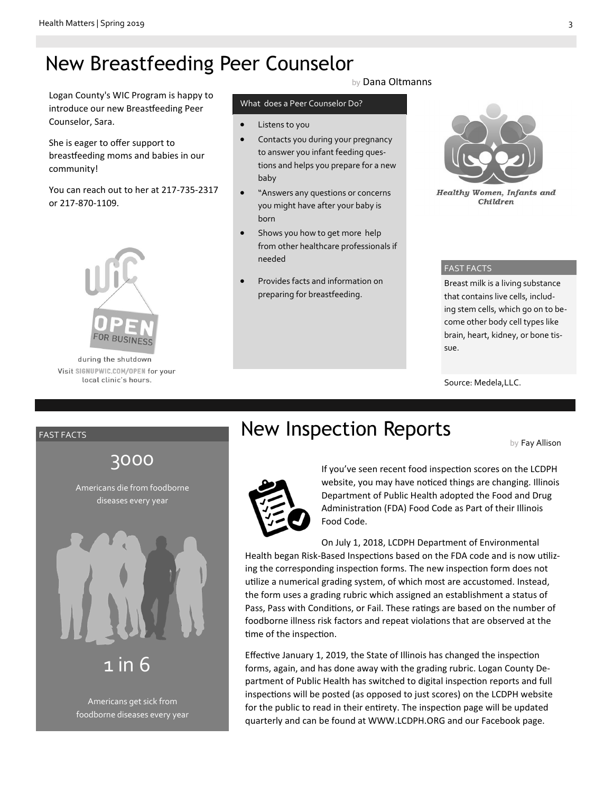## New Breastfeeding Peer Counselor

Logan County's WIC Program is happy to introduce our new Breastfeeding Peer Counselor, Sara.

She is eager to offer support to breastfeeding moms and babies in our community!

You can reach out to her at 217-735-2317 or 217-870-1109.



during the shutdown Visit SIGNUPWIC.COM/OPEN for your local clinic's hours.

by Dana Oltmanns

#### What does a Peer Counselor Do?

- Listens to you
- Contacts you during your pregnancy to answer you infant feeding questions and helps you prepare for a new baby
- "Answers any questions or concerns you might have after your baby is born
- Shows you how to get more help from other healthcare professionals if needed
- Provides facts and information on preparing for breastfeeding.



**Healthy Women, Infants and** Children

#### FAST FACTS

Breast milk is a living substance that contains live cells, including stem cells, which go on to become other body cell types like brain, heart, kidney, or bone tissue.

Source: Medela,LLC.

#### FAST FACTS

### 3000

Americans die from foodborne diseases every year



Americans get sick from foodborne diseases every year

### New Inspection Reports

by Fay Allison



If you've seen recent food inspection scores on the LCDPH website, you may have noticed things are changing. Illinois Department of Public Health adopted the Food and Drug Administration (FDA) Food Code as Part of their Illinois Food Code.

On July 1, 2018, LCDPH Department of Environmental Health began Risk-Based Inspections based on the FDA code and is now utilizing the corresponding inspection forms. The new inspection form does not utilize a numerical grading system, of which most are accustomed. Instead, the form uses a grading rubric which assigned an establishment a status of Pass, Pass with Conditions, or Fail. These ratings are based on the number of foodborne illness risk factors and repeat violations that are observed at the time of the inspection.

Effective January 1, 2019, the State of Illinois has changed the inspection forms, again, and has done away with the grading rubric. Logan County Department of Public Health has switched to digital inspection reports and full inspections will be posted (as opposed to just scores) on the LCDPH website for the public to read in their entirety. The inspection page will be updated quarterly and can be found at WWW.LCDPH.ORG and our Facebook page.